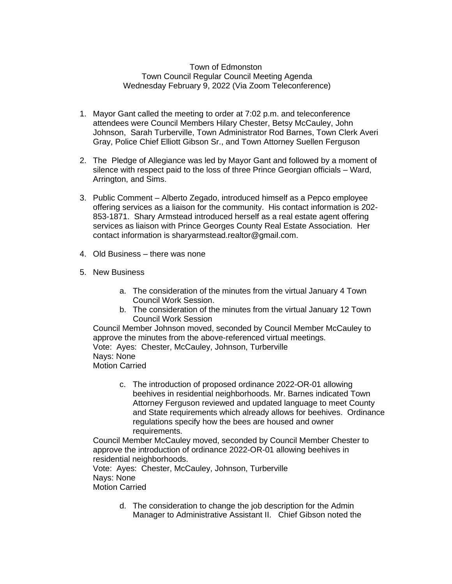## Town of Edmonston Town Council Regular Council Meeting Agenda Wednesday February 9, 2022 (Via Zoom Teleconference)

- 1. Mayor Gant called the meeting to order at 7:02 p.m. and teleconference attendees were Council Members Hilary Chester, Betsy McCauley, John Johnson, Sarah Turberville, Town Administrator Rod Barnes, Town Clerk Averi Gray, Police Chief Elliott Gibson Sr., and Town Attorney Suellen Ferguson
- 2. The Pledge of Allegiance was led by Mayor Gant and followed by a moment of silence with respect paid to the loss of three Prince Georgian officials – Ward, Arrington, and Sims.
- 3. Public Comment Alberto Zegado, introduced himself as a Pepco employee offering services as a liaison for the community. His contact information is 202- 853-1871. Shary Armstead introduced herself as a real estate agent offering services as liaison with Prince Georges County Real Estate Association. Her contact information is sharyarmstead.realtor@gmail.com.
- 4. Old Business there was none
- 5. New Business
	- a. The consideration of the minutes from the virtual January 4 Town Council Work Session.
	- b. The consideration of the minutes from the virtual January 12 Town Council Work Session

Council Member Johnson moved, seconded by Council Member McCauley to approve the minutes from the above-referenced virtual meetings. Vote: Ayes: Chester, McCauley, Johnson, Turberville Nays: None Motion Carried

c. The introduction of proposed ordinance 2022-OR-01 allowing beehives in residential neighborhoods. Mr. Barnes indicated Town Attorney Ferguson reviewed and updated language to meet County and State requirements which already allows for beehives. Ordinance regulations specify how the bees are housed and owner requirements.

Council Member McCauley moved, seconded by Council Member Chester to approve the introduction of ordinance 2022-OR-01 allowing beehives in residential neighborhoods.

Vote: Ayes: Chester, McCauley, Johnson, Turberville Nays: None Motion Carried

> d. The consideration to change the job description for the Admin Manager to Administrative Assistant II. Chief Gibson noted the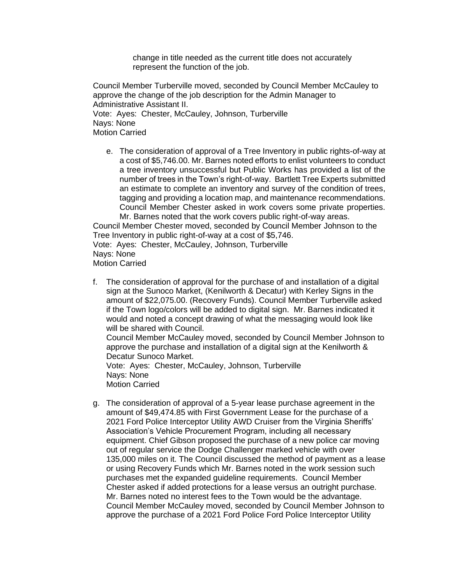change in title needed as the current title does not accurately represent the function of the job.

Council Member Turberville moved, seconded by Council Member McCauley to approve the change of the job description for the Admin Manager to Administrative Assistant II. Vote: Ayes: Chester, McCauley, Johnson, Turberville Nays: None Motion Carried

e. The consideration of approval of a Tree Inventory in public rights-of-way at a cost of \$5,746.00. Mr. Barnes noted efforts to enlist volunteers to conduct a tree inventory unsuccessful but Public Works has provided a list of the number of trees in the Town's right-of-way. Bartlett Tree Experts submitted an estimate to complete an inventory and survey of the condition of trees, tagging and providing a location map, and maintenance recommendations. Council Member Chester asked in work covers some private properties. Mr. Barnes noted that the work covers public right-of-way areas.

Council Member Chester moved, seconded by Council Member Johnson to the Tree Inventory in public right-of-way at a cost of \$5,746.

Vote: Ayes: Chester, McCauley, Johnson, Turberville Nays: None Motion Carried

f. The consideration of approval for the purchase of and installation of a digital sign at the Sunoco Market, (Kenilworth & Decatur) with Kerley Signs in the amount of \$22,075.00. (Recovery Funds). Council Member Turberville asked if the Town logo/colors will be added to digital sign. Mr. Barnes indicated it would and noted a concept drawing of what the messaging would look like will be shared with Council.

Council Member McCauley moved, seconded by Council Member Johnson to approve the purchase and installation of a digital sign at the Kenilworth & Decatur Sunoco Market.

Vote: Ayes: Chester, McCauley, Johnson, Turberville Nays: None Motion Carried

g. The consideration of approval of a 5-year lease purchase agreement in the amount of \$49,474.85 with First Government Lease for the purchase of a 2021 Ford Police Interceptor Utility AWD Cruiser from the Virginia Sheriffs' Association's Vehicle Procurement Program, including all necessary equipment. Chief Gibson proposed the purchase of a new police car moving out of regular service the Dodge Challenger marked vehicle with over 135,000 miles on it. The Council discussed the method of payment as a lease or using Recovery Funds which Mr. Barnes noted in the work session such purchases met the expanded guideline requirements. Council Member Chester asked if added protections for a lease versus an outright purchase. Mr. Barnes noted no interest fees to the Town would be the advantage. Council Member McCauley moved, seconded by Council Member Johnson to approve the purchase of a 2021 Ford Police Ford Police Interceptor Utility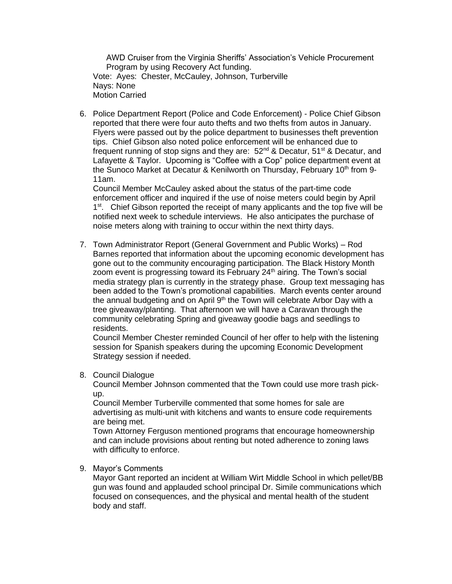AWD Cruiser from the Virginia Sheriffs' Association's Vehicle Procurement Program by using Recovery Act funding. Vote: Ayes: Chester, McCauley, Johnson, Turberville Nays: None Motion Carried

6. Police Department Report (Police and Code Enforcement) - Police Chief Gibson reported that there were four auto thefts and two thefts from autos in January. Flyers were passed out by the police department to businesses theft prevention tips. Chief Gibson also noted police enforcement will be enhanced due to frequent running of stop signs and they are:  $52<sup>nd</sup>$  & Decatur,  $51<sup>st</sup>$  & Decatur, and Lafayette & Taylor. Upcoming is "Coffee with a Cop" police department event at the Sunoco Market at Decatur & Kenilworth on Thursday, February 10<sup>th</sup> from 9-11am.

Council Member McCauley asked about the status of the part-time code enforcement officer and inquired if the use of noise meters could begin by April 1<sup>st</sup>. Chief Gibson reported the receipt of many applicants and the top five will be notified next week to schedule interviews. He also anticipates the purchase of noise meters along with training to occur within the next thirty days.

7. Town Administrator Report (General Government and Public Works) – Rod Barnes reported that information about the upcoming economic development has gone out to the community encouraging participation. The Black History Month zoom event is progressing toward its February 24<sup>th</sup> airing. The Town's social media strategy plan is currently in the strategy phase. Group text messaging has been added to the Town's promotional capabilities. March events center around the annual budgeting and on April  $9<sup>th</sup>$  the Town will celebrate Arbor Day with a tree giveaway/planting. That afternoon we will have a Caravan through the community celebrating Spring and giveaway goodie bags and seedlings to residents.

Council Member Chester reminded Council of her offer to help with the listening session for Spanish speakers during the upcoming Economic Development Strategy session if needed.

## 8. Council Dialogue

Council Member Johnson commented that the Town could use more trash pickup.

Council Member Turberville commented that some homes for sale are advertising as multi-unit with kitchens and wants to ensure code requirements are being met.

Town Attorney Ferguson mentioned programs that encourage homeownership and can include provisions about renting but noted adherence to zoning laws with difficulty to enforce.

## 9. Mayor's Comments

Mayor Gant reported an incident at William Wirt Middle School in which pellet/BB gun was found and applauded school principal Dr. Simile communications which focused on consequences, and the physical and mental health of the student body and staff.